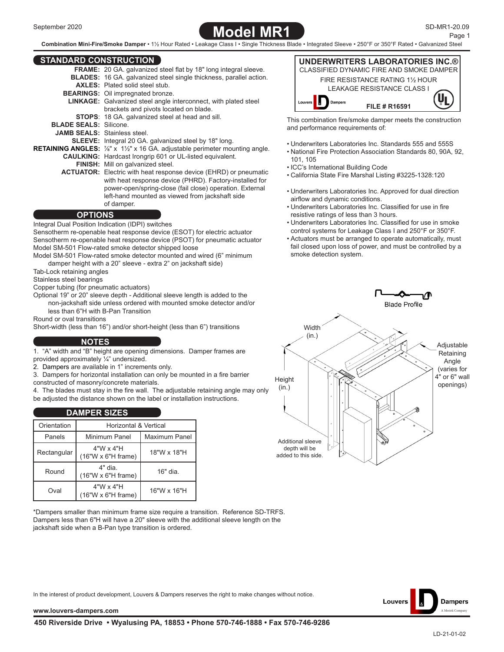# **Model MR1**

**Combination Mini-Fire/Smoke Damper** • 1½ Hour Rated • Leakage Class I • Single Thickness Blade • Integrated Sleeve • 250°F or 350°F Rated • Galvanized Steel

# **STANDARD CONSTRUCTION**

| <b>STANDARD CONSTRUCTION</b>       |                                                                                                                          |
|------------------------------------|--------------------------------------------------------------------------------------------------------------------------|
|                                    | <b>FRAME:</b> 20 GA. galvanized steel flat by 18" long integral sleeve.                                                  |
|                                    | <b>BLADES:</b> 16 GA. galvanized steel single thickness, parallel action.                                                |
|                                    | <b>AXLES:</b> Plated solid steel stub                                                                                    |
|                                    | <b>BEARINGS:</b> Oil impregnated bronze.                                                                                 |
|                                    | <b>LINKAGE:</b> Galvanized steel angle interconnect, with plated steel                                                   |
|                                    | brackets and pivots located on blade.                                                                                    |
|                                    | <b>STOPS:</b> 18 GA. galvanized steel at head and sill.                                                                  |
| <b>BLADE SEALS: Silicone</b>       |                                                                                                                          |
| <b>JAMB SEALS:</b> Stainless steel |                                                                                                                          |
|                                    | <b>SLEEVE:</b> Integral 20 GA. galvanized steel by 18" long.                                                             |
|                                    | <b>RETAINING ANGLES:</b> $\frac{7}{8}$ " x 1 <sup>1</sup> / <sub>2</sub> " x 16 GA. adjustable perimeter mounting angle. |
|                                    | <b>CAULKING:</b> Hardcast Irongrip 601 or UL-listed equivalent.                                                          |
|                                    | <b>FINISH:</b> Mill on galvanized steel.                                                                                 |
|                                    | <b>ACTUATOR:</b> Electric with heat response device (EHRD) or pneumatic                                                  |
|                                    | with heat response device (PHRD). Factory-installed for                                                                  |
|                                    | power-open/spring-close (fail close) operation. External                                                                 |
|                                    | left-hand mounted as viewed from jackshaft side                                                                          |
|                                    | of damper.                                                                                                               |

#### **OPTIONS**

Integral Dual Position Indication (IDPI) switches Sensotherm re-openable heat response device (ESOT) for electric actuator

Sensotherm re-openable heat response device (PSOT) for pneumatic actuator Model SM-501 Flow-rated smoke detector shipped loose

Model SM-501 Flow-rated smoke detector mounted and wired (6" minimum damper height with a 20" sleeve - extra 2" on jackshaft side)

Tab-Lock retaining angles

Stainless steel bearings

Copper tubing (for pneumatic actuators)

Optional 19" or 20" sleeve depth - Additional sleeve length is added to the non-jackshaft side unless ordered with mounted smoke detector and/or less than 6"H with B-Pan Transition

Round or oval transitions

Short-width (less than 16") and/or short-height (less than 6") transitions

## **NOTES**

1. "A" width and "B" height are opening dimensions. Damper frames are provided approximately ¼" undersized.

2. Dampers are available in 1" increments only.

3. Dampers for horizontal installation can only be mounted in a fire barrier constructed of masonry/concrete materials.

4. The blades must stay in the fire wall. The adjustable retaining angle may only be adjusted the distance shown on the label or installation instructions.

#### **DAMPER SIZES**

| Orientation | Horizontal & Vertical                         |               |  |  |  |
|-------------|-----------------------------------------------|---------------|--|--|--|
| Panels      | Minimum Panel                                 | Maximum Panel |  |  |  |
| Rectangular | $4"W \times 4"H$<br>$(16"W \times 6"H frame)$ | 18"W x 18"H   |  |  |  |
| Round       | 4" dia<br>$(16"W \times 6"H frame)$           | 16" dia.      |  |  |  |
| Oval        | $4"W \times 4"H$<br>$(16"W \times 6"H frame)$ | 16"W x 16"H   |  |  |  |

\*Dampers smaller than minimum frame size require a transition. Reference SD-TRFS. Dampers less than 6"H will have a 20" sleeve with the additional sleeve length on the jackshaft side when a B-Pan type transition is ordered.



This combination fire/smoke damper meets the construction and performance requirements of:

- Underwriters Laboratories Inc. Standards 555 and 555S
- National Fire Protection Association Standards 80, 90A, 92, 101, 105
- ICC's International Building Code
- California State Fire Marshal Listing #3225-1328:120
- Underwriters Laboratories Inc. Approved for dual direction airflow and dynamic conditions.
- Underwriters Laboratories Inc. Classified for use in fire resistive ratings of less than 3 hours.
- Underwriters Laboratories Inc. Classified for use in smoke control systems for Leakage Class I and 250°F or 350°F.
- Actuators must be arranged to operate automatically, must fail closed upon loss of power, and must be controlled by a smoke detection system.





In the interest of product development, Louvers & Dampers reserves the right to make changes without notice.